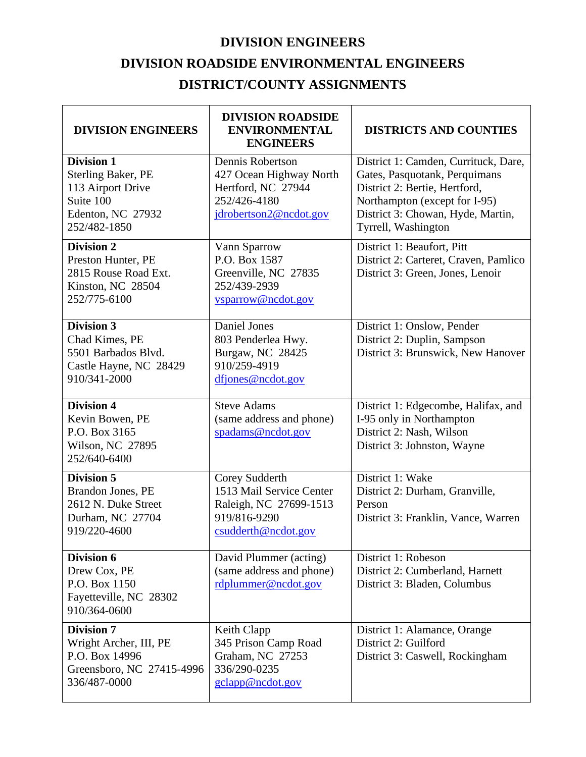## **DIVISION ENGINEERS**

## **DIVISION ROADSIDE ENVIRONMENTAL ENGINEERS DISTRICT/COUNTY ASSIGNMENTS**

| <b>DIVISION ENGINEERS</b>                                                                                             | <b>DIVISION ROADSIDE</b><br><b>ENVIRONMENTAL</b><br><b>ENGINEERS</b>                                        | <b>DISTRICTS AND COUNTIES</b>                                                                                                                                                                       |
|-----------------------------------------------------------------------------------------------------------------------|-------------------------------------------------------------------------------------------------------------|-----------------------------------------------------------------------------------------------------------------------------------------------------------------------------------------------------|
| <b>Division 1</b><br><b>Sterling Baker, PE</b><br>113 Airport Drive<br>Suite 100<br>Edenton, NC 27932<br>252/482-1850 | Dennis Robertson<br>427 Ocean Highway North<br>Hertford, NC 27944<br>252/426-4180<br>jdrobertson2@ncdot.gov | District 1: Camden, Currituck, Dare,<br>Gates, Pasquotank, Perquimans<br>District 2: Bertie, Hertford,<br>Northampton (except for I-95)<br>District 3: Chowan, Hyde, Martin,<br>Tyrrell, Washington |
| <b>Division 2</b><br>Preston Hunter, PE<br>2815 Rouse Road Ext.<br>Kinston, NC 28504<br>252/775-6100                  | Vann Sparrow<br>P.O. Box 1587<br>Greenville, NC 27835<br>252/439-2939<br>vsparrow@ncdot.gov                 | District 1: Beaufort, Pitt<br>District 2: Carteret, Craven, Pamlico<br>District 3: Green, Jones, Lenoir                                                                                             |
| <b>Division 3</b><br>Chad Kimes, PE<br>5501 Barbados Blvd.<br>Castle Hayne, NC 28429<br>910/341-2000                  | Daniel Jones<br>803 Penderlea Hwy.<br>Burgaw, NC 28425<br>910/259-4919<br>dfjones@ncdot.gov                 | District 1: Onslow, Pender<br>District 2: Duplin, Sampson<br>District 3: Brunswick, New Hanover                                                                                                     |
| <b>Division 4</b><br>Kevin Bowen, PE<br>P.O. Box 3165<br>Wilson, NC 27895<br>252/640-6400                             | <b>Steve Adams</b><br>(same address and phone)<br>spadams@ncdot.gov                                         | District 1: Edgecombe, Halifax, and<br>I-95 only in Northampton<br>District 2: Nash, Wilson<br>District 3: Johnston, Wayne                                                                          |
| <b>Division 5</b><br>Brandon Jones, PE<br>2612 N. Duke Street<br>Durham, NC 27704<br>919/220-4600                     | Corey Sudderth<br>1513 Mail Service Center<br>Raleigh, NC 27699-1513<br>919/816-9290<br>csudderth@ncdot.gov | District 1: Wake<br>District 2: Durham, Granville,<br>Person<br>District 3: Franklin, Vance, Warren                                                                                                 |
| Division 6<br>Drew Cox, PE<br>P.O. Box 1150<br>Fayetteville, NC 28302<br>910/364-0600                                 | David Plummer (acting)<br>(same address and phone)<br>rdplummer@ncdot.gov                                   | District 1: Robeson<br>District 2: Cumberland, Harnett<br>District 3: Bladen, Columbus                                                                                                              |
| <b>Division 7</b><br>Wright Archer, III, PE<br>P.O. Box 14996<br>Greensboro, NC 27415-4996<br>336/487-0000            | Keith Clapp<br>345 Prison Camp Road<br>Graham, NC 27253<br>336/290-0235<br>gclapp@ncdot.gov                 | District 1: Alamance, Orange<br>District 2: Guilford<br>District 3: Caswell, Rockingham                                                                                                             |